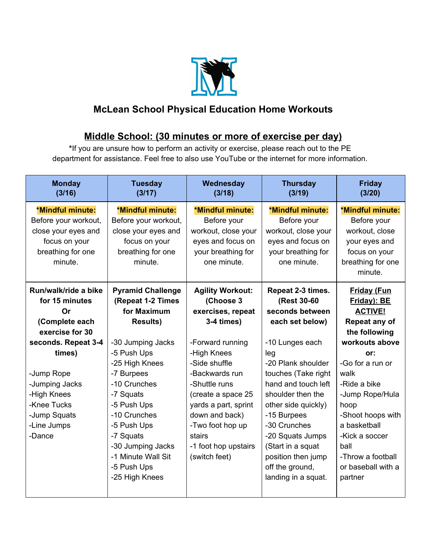

## **McLean School Physical Education Home Workouts**

## **Middle School: (30 minutes or more of exercise per day)**

**\***If you are unsure how to perform an activity or exercise, please reach out to the PE department for assistance. Feel free to also use YouTube or the internet for more information.

| <b>Monday</b><br>(3/16)                                                                                                                                                   | <b>Tuesday</b><br>(3/17)                                                                                                                                                                                                                                | Wednesday<br>(3/18)                                                                                                                                                                                                                      | <b>Thursday</b><br>(3/19)                                                                                                                                                                                                                                                                         | <b>Friday</b><br>(3/20)                                                                                                                                                                                                                             |
|---------------------------------------------------------------------------------------------------------------------------------------------------------------------------|---------------------------------------------------------------------------------------------------------------------------------------------------------------------------------------------------------------------------------------------------------|------------------------------------------------------------------------------------------------------------------------------------------------------------------------------------------------------------------------------------------|---------------------------------------------------------------------------------------------------------------------------------------------------------------------------------------------------------------------------------------------------------------------------------------------------|-----------------------------------------------------------------------------------------------------------------------------------------------------------------------------------------------------------------------------------------------------|
| *Mindful minute:<br>Before your workout,<br>close your eyes and<br>focus on your<br>breathing for one<br>minute.<br>Run/walk/ride a bike<br>for 15 minutes<br>Or          | *Mindful minute:<br>Before your workout,<br>close your eyes and<br>focus on your<br>breathing for one<br>minute.<br><b>Pyramid Challenge</b><br>(Repeat 1-2 Times<br>for Maximum                                                                        | *Mindful minute:<br>Before your<br>workout, close your<br>eyes and focus on<br>your breathing for<br>one minute.<br><b>Agility Workout:</b><br>(Choose 3<br>exercises, repeat                                                            | *Mindful minute:<br>Before your<br>workout, close your<br>eyes and focus on<br>your breathing for<br>one minute.<br>Repeat 2-3 times.<br>(Rest 30-60<br>seconds between                                                                                                                           | *Mindful minute:<br>Before your<br>workout, close<br>your eyes and<br>focus on your<br>breathing for one<br>minute.<br><b>Friday (Fun</b><br>Friday): BE<br><b>ACTIVE!</b>                                                                          |
| (Complete each<br>exercise for 30<br>seconds. Repeat 3-4<br>times)<br>-Jump Rope<br>-Jumping Jacks<br>-High Knees<br>-Knee Tucks<br>-Jump Squats<br>-Line Jumps<br>-Dance | <b>Results)</b><br>-30 Jumping Jacks<br>-5 Push Ups<br>-25 High Knees<br>-7 Burpees<br>-10 Crunches<br>-7 Squats<br>-5 Push Ups<br>-10 Crunches<br>-5 Push Ups<br>-7 Squats<br>-30 Jumping Jacks<br>-1 Minute Wall Sit<br>-5 Push Ups<br>-25 High Knees | 3-4 times)<br>-Forward running<br>-High Knees<br>-Side shuffle<br>-Backwards run<br>-Shuttle runs<br>(create a space 25<br>yards a part, sprint<br>down and back)<br>-Two foot hop up<br>stairs<br>-1 foot hop upstairs<br>(switch feet) | each set below)<br>-10 Lunges each<br>leg<br>-20 Plank shoulder<br>touches (Take right<br>hand and touch left<br>shoulder then the<br>other side quickly)<br>-15 Burpees<br>-30 Crunches<br>-20 Squats Jumps<br>(Start in a squat<br>position then jump<br>off the ground,<br>landing in a squat. | Repeat any of<br>the following<br>workouts above<br>or:<br>-Go for a run or<br>walk<br>-Ride a bike<br>-Jump Rope/Hula<br>hoop<br>-Shoot hoops with<br>a basketball<br>-Kick a soccer<br>ball<br>-Throw a football<br>or baseball with a<br>partner |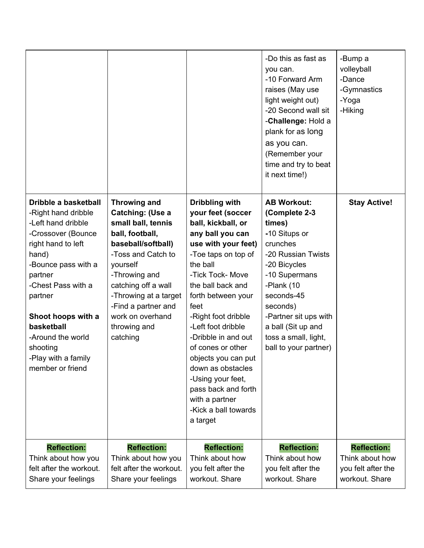|                                                                                                                                                                                                                                                                                                          |                                                                                                                                                                                                                                                                                  |                                                                                                                                                                                                                                                                                                                                                                                                                                                       | -Do this as fast as<br>you can.<br>-10 Forward Arm<br>raises (May use<br>light weight out)<br>-20 Second wall sit<br>-Challenge: Hold a<br>plank for as long<br>as you can.<br>(Remember your<br>time and try to beat<br>it next time!)                                   | -Bump a<br>volleyball<br>-Dance<br>-Gymnastics<br>-Yoga<br>-Hiking            |
|----------------------------------------------------------------------------------------------------------------------------------------------------------------------------------------------------------------------------------------------------------------------------------------------------------|----------------------------------------------------------------------------------------------------------------------------------------------------------------------------------------------------------------------------------------------------------------------------------|-------------------------------------------------------------------------------------------------------------------------------------------------------------------------------------------------------------------------------------------------------------------------------------------------------------------------------------------------------------------------------------------------------------------------------------------------------|---------------------------------------------------------------------------------------------------------------------------------------------------------------------------------------------------------------------------------------------------------------------------|-------------------------------------------------------------------------------|
| Dribble a basketball<br>-Right hand dribble<br>-Left hand dribble<br>-Crossover (Bounce<br>right hand to left<br>hand)<br>-Bounce pass with a<br>partner<br>-Chest Pass with a<br>partner<br>Shoot hoops with a<br>basketball<br>-Around the world<br>shooting<br>Play with a family<br>member or friend | <b>Throwing and</b><br>Catching: (Use a<br>small ball, tennis<br>ball, football,<br>baseball/softball)<br>-Toss and Catch to<br>yourself<br>-Throwing and<br>catching off a wall<br>-Throwing at a target<br>-Find a partner and<br>work on overhand<br>throwing and<br>catching | Dribbling with<br>your feet (soccer<br>ball, kickball, or<br>any ball you can<br>use with your feet)<br>-Toe taps on top of<br>the ball<br>-Tick Tock- Move<br>the ball back and<br>forth between your<br>feet<br>-Right foot dribble<br>-Left foot dribble<br>-Dribble in and out<br>of cones or other<br>objects you can put<br>down as obstacles<br>-Using your feet,<br>pass back and forth<br>with a partner<br>-Kick a ball towards<br>a target | <b>AB Workout:</b><br>(Complete 2-3<br>times)<br>-10 Situps or<br>crunches<br>-20 Russian Twists<br>-20 Bicycles<br>-10 Supermans<br>-Plank (10<br>seconds-45<br>seconds)<br>-Partner sit ups with<br>a ball (Sit up and<br>toss a small, light,<br>ball to your partner) | <b>Stay Active!</b>                                                           |
| <b>Reflection:</b><br>Think about how you<br>felt after the workout.<br>Share your feelings                                                                                                                                                                                                              | <b>Reflection:</b><br>Think about how you<br>felt after the workout.<br>Share your feelings                                                                                                                                                                                      | <b>Reflection:</b><br>Think about how<br>you felt after the<br>workout. Share                                                                                                                                                                                                                                                                                                                                                                         | <b>Reflection:</b><br>Think about how<br>you felt after the<br>workout. Share                                                                                                                                                                                             | <b>Reflection:</b><br>Think about how<br>you felt after the<br>workout. Share |